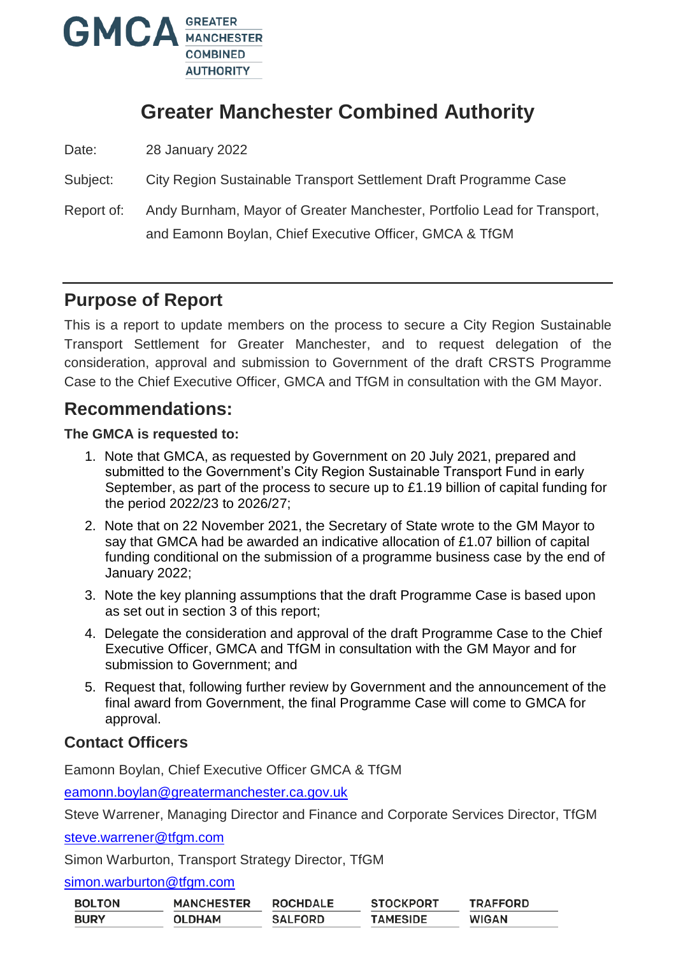

# **Greater Manchester Combined Authority**

Date: 28 January 2022

Subject: City Region Sustainable Transport Settlement Draft Programme Case

Report of: Andy Burnham, Mayor of Greater Manchester, Portfolio Lead for Transport, and Eamonn Boylan, Chief Executive Officer, GMCA & TfGM

## **Purpose of Report**

This is a report to update members on the process to secure a City Region Sustainable Transport Settlement for Greater Manchester, and to request delegation of the consideration, approval and submission to Government of the draft CRSTS Programme Case to the Chief Executive Officer, GMCA and TfGM in consultation with the GM Mayor.

## **Recommendations:**

#### **The GMCA is requested to:**

- 1. Note that GMCA, as requested by Government on 20 July 2021, prepared and submitted to the Government's City Region Sustainable Transport Fund in early September, as part of the process to secure up to £1.19 billion of capital funding for the period 2022/23 to 2026/27;
- 2. Note that on 22 November 2021, the Secretary of State wrote to the GM Mayor to say that GMCA had be awarded an indicative allocation of £1.07 billion of capital funding conditional on the submission of a programme business case by the end of January 2022;
- 3. Note the key planning assumptions that the draft Programme Case is based upon as set out in section 3 of this report;
- 4. Delegate the consideration and approval of the draft Programme Case to the Chief Executive Officer, GMCA and TfGM in consultation with the GM Mayor and for submission to Government; and
- 5. Request that, following further review by Government and the announcement of the final award from Government, the final Programme Case will come to GMCA for approval.

### **Contact Officers**

Eamonn Boylan, Chief Executive Officer GMCA & TfGM

[eamonn.boylan@greatermanchester.ca.gov.uk](mailto:eamonn.boylan@greatermanchester.ca.gov.uk)

Steve Warrener, Managing Director and Finance and Corporate Services Director, TfGM

[steve.warrener@tfgm.com](mailto:steve.warrener@tfgm.com)

Simon Warburton, Transport Strategy Director, TfGM

[simon.warburton@tfgm.com](mailto:simon.warburton@tfgm.com)

| <b>BOLTON</b> | <b>MANCHESTER</b> | <b>ROCHDALE</b> | <b>STOCKPORT</b> | <b>TRAFFORD</b> |
|---------------|-------------------|-----------------|------------------|-----------------|
| <b>BURY</b>   | <b>OLDHAM</b>     | <b>SALFORD</b>  | TAMESIDE         | <b>WIGAN</b>    |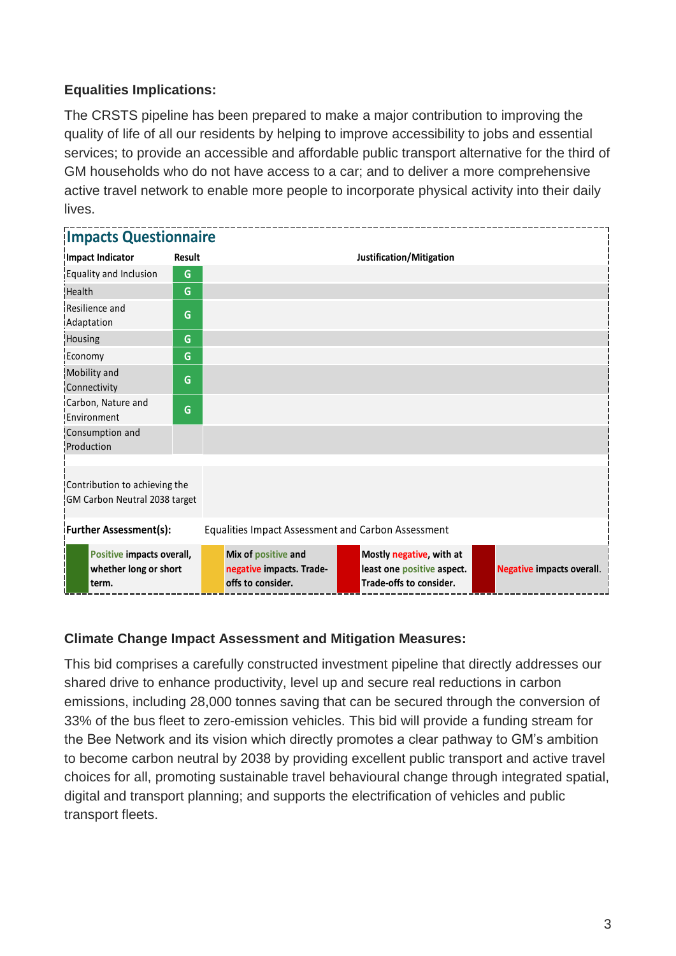#### **Equalities Implications:**

The CRSTS pipeline has been prepared to make a major contribution to improving the quality of life of all our residents by helping to improve accessibility to jobs and essential services; to provide an accessible and affordable public transport alternative for the third of GM households who do not have access to a car; and to deliver a more comprehensive active travel network to enable more people to incorporate physical activity into their daily lives.

| <b>Impacts Questionnaire</b>                                   |               |                                                    |                                                                      |  |                                                                                   |  |                                  |  |  |
|----------------------------------------------------------------|---------------|----------------------------------------------------|----------------------------------------------------------------------|--|-----------------------------------------------------------------------------------|--|----------------------------------|--|--|
| <b>Impact Indicator</b>                                        | <b>Result</b> |                                                    |                                                                      |  | Justification/Mitigation                                                          |  |                                  |  |  |
| Equality and Inclusion                                         | G             |                                                    |                                                                      |  |                                                                                   |  |                                  |  |  |
| <b>Health</b>                                                  | G             |                                                    |                                                                      |  |                                                                                   |  |                                  |  |  |
| Resilience and<br>Adaptation                                   | G             |                                                    |                                                                      |  |                                                                                   |  |                                  |  |  |
| Housing                                                        | G             |                                                    |                                                                      |  |                                                                                   |  |                                  |  |  |
| Economy                                                        | G             |                                                    |                                                                      |  |                                                                                   |  |                                  |  |  |
| Mobility and<br>Connectivity                                   | G             |                                                    |                                                                      |  |                                                                                   |  |                                  |  |  |
| Carbon, Nature and<br>Environment                              | G             |                                                    |                                                                      |  |                                                                                   |  |                                  |  |  |
| Consumption and<br>Production                                  |               |                                                    |                                                                      |  |                                                                                   |  |                                  |  |  |
| Contribution to achieving the<br>GM Carbon Neutral 2038 target |               |                                                    |                                                                      |  |                                                                                   |  |                                  |  |  |
| <b>Further Assessment(s):</b>                                  |               | Equalities Impact Assessment and Carbon Assessment |                                                                      |  |                                                                                   |  |                                  |  |  |
| Positive impacts overall,<br>whether long or short<br>term.    |               |                                                    | Mix of positive and<br>negative impacts. Trade-<br>offs to consider. |  | Mostly negative, with at<br>least one positive aspect.<br>Trade-offs to consider. |  | <b>Negative impacts overall.</b> |  |  |

#### **Climate Change Impact Assessment and Mitigation Measures:**

This bid comprises a carefully constructed investment pipeline that directly addresses our shared drive to enhance productivity, level up and secure real reductions in carbon emissions, including 28,000 tonnes saving that can be secured through the conversion of 33% of the bus fleet to zero-emission vehicles. This bid will provide a funding stream for the Bee Network and its vision which directly promotes a clear pathway to GM's ambition to become carbon neutral by 2038 by providing excellent public transport and active travel choices for all, promoting sustainable travel behavioural change through integrated spatial, digital and transport planning; and supports the electrification of vehicles and public transport fleets.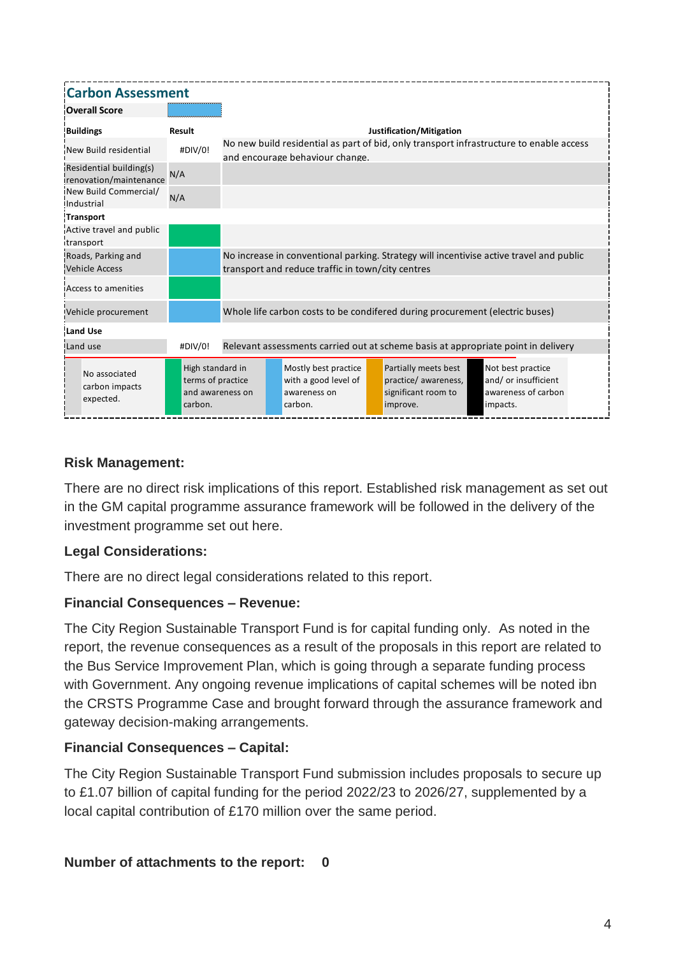| <b>Carbon Assessment</b>                          |                                                                      |  |                                                                                                                                              |                                                                         |  |                                                                                 |  |                                                                                         |  |
|---------------------------------------------------|----------------------------------------------------------------------|--|----------------------------------------------------------------------------------------------------------------------------------------------|-------------------------------------------------------------------------|--|---------------------------------------------------------------------------------|--|-----------------------------------------------------------------------------------------|--|
| <b>Overall Score</b>                              |                                                                      |  |                                                                                                                                              |                                                                         |  |                                                                                 |  |                                                                                         |  |
| <b>Buildings</b>                                  | <b>Result</b>                                                        |  |                                                                                                                                              |                                                                         |  | Justification/Mitigation                                                        |  |                                                                                         |  |
| New Build residential                             | #DIV/0!                                                              |  |                                                                                                                                              | and encourage behaviour change.                                         |  |                                                                                 |  | No new build residential as part of bid, only transport infrastructure to enable access |  |
| Residential building(s)<br>renovation/maintenance | N/A                                                                  |  |                                                                                                                                              |                                                                         |  |                                                                                 |  |                                                                                         |  |
| New Build Commercial/<br>Industrial               | N/A                                                                  |  |                                                                                                                                              |                                                                         |  |                                                                                 |  |                                                                                         |  |
| <b>Transport</b>                                  |                                                                      |  |                                                                                                                                              |                                                                         |  |                                                                                 |  |                                                                                         |  |
| Active travel and public<br>transport             |                                                                      |  |                                                                                                                                              |                                                                         |  |                                                                                 |  |                                                                                         |  |
| Roads, Parking and<br><b>Vehicle Access</b>       |                                                                      |  | No increase in conventional parking. Strategy will incentivise active travel and public<br>transport and reduce traffic in town/city centres |                                                                         |  |                                                                                 |  |                                                                                         |  |
| Access to amenities                               |                                                                      |  |                                                                                                                                              |                                                                         |  |                                                                                 |  |                                                                                         |  |
| Vehicle procurement                               |                                                                      |  | Whole life carbon costs to be condifered during procurement (electric buses)                                                                 |                                                                         |  |                                                                                 |  |                                                                                         |  |
| <b>Land Use</b>                                   |                                                                      |  |                                                                                                                                              |                                                                         |  |                                                                                 |  |                                                                                         |  |
| Land use                                          | #DIV/0!                                                              |  |                                                                                                                                              |                                                                         |  |                                                                                 |  | Relevant assessments carried out at scheme basis at appropriate point in delivery       |  |
| No associated<br>carbon impacts<br>expected.      | High standard in<br>terms of practice<br>and awareness on<br>carbon. |  |                                                                                                                                              | Mostly best practice<br>with a good level of<br>awareness on<br>carbon. |  | Partially meets best<br>practice/ awareness,<br>significant room to<br>improve. |  | Not best practice<br>and/or insufficient<br>awareness of carbon<br>impacts.             |  |

#### **Risk Management:**

There are no direct risk implications of this report. Established risk management as set out in the GM capital programme assurance framework will be followed in the delivery of the investment programme set out here.

#### **Legal Considerations:**

There are no direct legal considerations related to this report.

#### **Financial Consequences – Revenue:**

The City Region Sustainable Transport Fund is for capital funding only. As noted in the report, the revenue consequences as a result of the proposals in this report are related to the Bus Service Improvement Plan, which is going through a separate funding process with Government. Any ongoing revenue implications of capital schemes will be noted ibn the CRSTS Programme Case and brought forward through the assurance framework and gateway decision-making arrangements.

### **Financial Consequences – Capital:**

The City Region Sustainable Transport Fund submission includes proposals to secure up to £1.07 billion of capital funding for the period 2022/23 to 2026/27, supplemented by a local capital contribution of £170 million over the same period.

**Number of attachments to the report: 0**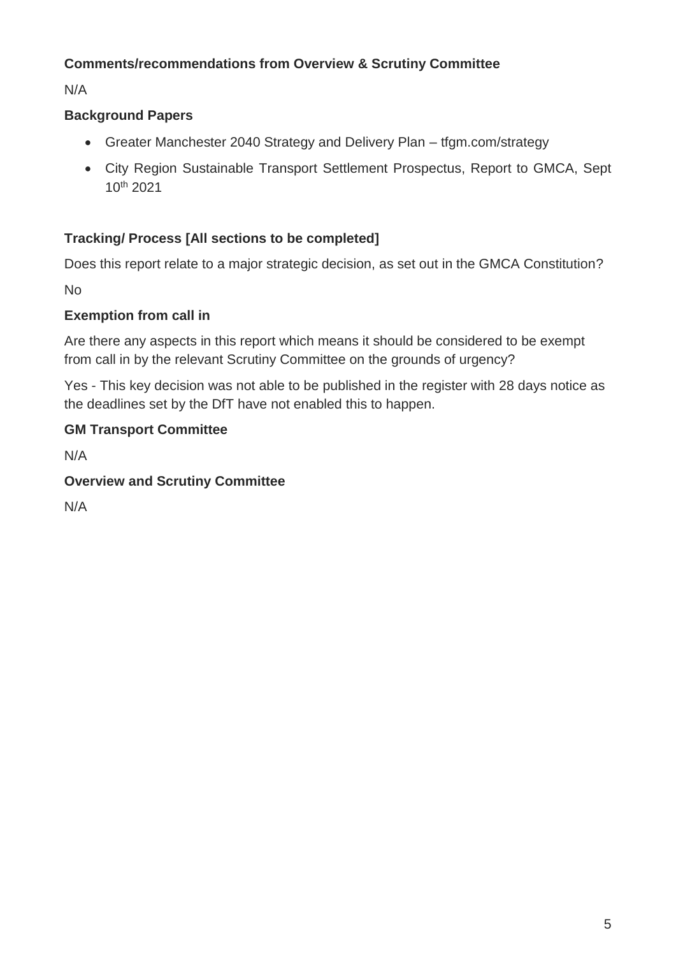### **Comments/recommendations from Overview & Scrutiny Committee**

N/A

## **Background Papers**

- Greater Manchester 2040 Strategy and Delivery Plan tfgm.com/strategy
- City Region Sustainable Transport Settlement Prospectus, Report to GMCA, Sept 10th 2021

## **Tracking/ Process [All sections to be completed]**

Does this report relate to a major strategic decision, as set out in the GMCA Constitution?

No

### **Exemption from call in**

Are there any aspects in this report which means it should be considered to be exempt from call in by the relevant Scrutiny Committee on the grounds of urgency?

Yes - This key decision was not able to be published in the register with 28 days notice as the deadlines set by the DfT have not enabled this to happen.

## **GM Transport Committee**

N/A

### **Overview and Scrutiny Committee**

N/A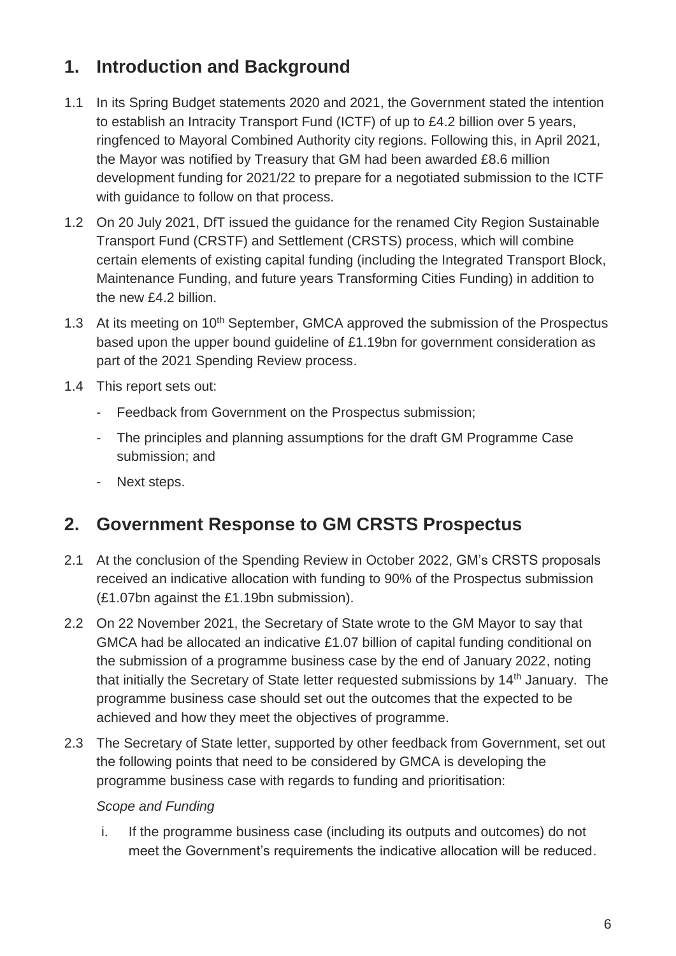## **1. Introduction and Background**

- 1.1 In its Spring Budget statements 2020 and 2021, the Government stated the intention to establish an Intracity Transport Fund (ICTF) of up to £4.2 billion over 5 years, ringfenced to Mayoral Combined Authority city regions. Following this, in April 2021, the Mayor was notified by Treasury that GM had been awarded £8.6 million development funding for 2021/22 to prepare for a negotiated submission to the ICTF with guidance to follow on that process.
- 1.2 On 20 July 2021, DfT issued the guidance for the renamed City Region Sustainable Transport Fund (CRSTF) and Settlement (CRSTS) process, which will combine certain elements of existing capital funding (including the Integrated Transport Block, Maintenance Funding, and future years Transforming Cities Funding) in addition to the new £4.2 billion.
- 1.3 At its meeting on 10<sup>th</sup> September, GMCA approved the submission of the Prospectus based upon the upper bound guideline of £1.19bn for government consideration as part of the 2021 Spending Review process.
- 1.4 This report sets out:
	- Feedback from Government on the Prospectus submission;
	- The principles and planning assumptions for the draft GM Programme Case submission; and
	- Next steps.

## **2. Government Response to GM CRSTS Prospectus**

- 2.1 At the conclusion of the Spending Review in October 2022, GM's CRSTS proposals received an indicative allocation with funding to 90% of the Prospectus submission (£1.07bn against the £1.19bn submission).
- 2.2 On 22 November 2021, the Secretary of State wrote to the GM Mayor to say that GMCA had be allocated an indicative £1.07 billion of capital funding conditional on the submission of a programme business case by the end of January 2022, noting that initially the Secretary of State letter requested submissions by  $14<sup>th</sup>$  January. The programme business case should set out the outcomes that the expected to be achieved and how they meet the objectives of programme.
- 2.3 The Secretary of State letter, supported by other feedback from Government, set out the following points that need to be considered by GMCA is developing the programme business case with regards to funding and prioritisation:

#### *Scope and Funding*

i. If the programme business case (including its outputs and outcomes) do not meet the Government's requirements the indicative allocation will be reduced.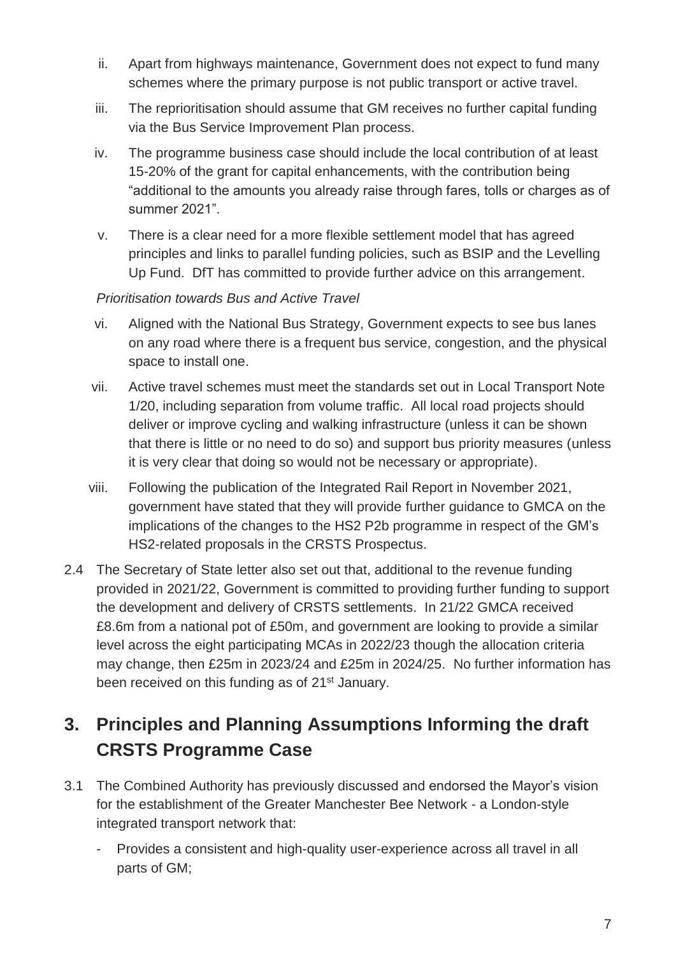- ii. Apart from highways maintenance, Government does not expect to fund many schemes where the primary purpose is not public transport or active travel.
- iii. The reprioritisation should assume that GM receives no further capital funding via the Bus Service Improvement Plan process.
- iv. The programme business case should include the local contribution of at least 15-20% of the grant for capital enhancements, with the contribution being "additional to the amounts you already raise through fares, tolls or charges as of summer 2021".
- v. There is a clear need for a more flexible settlement model that has agreed principles and links to parallel funding policies, such as BSIP and the Levelling Up Fund. DfT has committed to provide further advice on this arrangement.

#### *Prioritisation towards Bus and Active Travel*

- vi. Aligned with the National Bus Strategy, Government expects to see bus lanes on any road where there is a frequent bus service, congestion, and the physical space to install one.
- vii. Active travel schemes must meet the standards set out in Local Transport Note 1/20, including separation from volume traffic. All local road projects should deliver or improve cycling and walking infrastructure (unless it can be shown that there is little or no need to do so) and support bus priority measures (unless it is very clear that doing so would not be necessary or appropriate).
- viii. Following the publication of the Integrated Rail Report in November 2021, government have stated that they will provide further guidance to GMCA on the implications of the changes to the HS2 P2b programme in respect of the GM's HS2-related proposals in the CRSTS Prospectus.
- 2.4 The Secretary of State letter also set out that, additional to the revenue funding provided in 2021/22, Government is committed to providing further funding to support the development and delivery of CRSTS settlements. In 21/22 GMCA received £8.6m from a national pot of £50m, and government are looking to provide a similar level across the eight participating MCAs in 2022/23 though the allocation criteria may change, then £25m in 2023/24 and £25m in 2024/25. No further information has been received on this funding as of 21<sup>st</sup> January.

# **3. Principles and Planning Assumptions Informing the draft CRSTS Programme Case**

- 3.1 The Combined Authority has previously discussed and endorsed the Mayor's vision for the establishment of the Greater Manchester Bee Network - a London-style integrated transport network that:
	- Provides a consistent and high-quality user-experience across all travel in all parts of GM;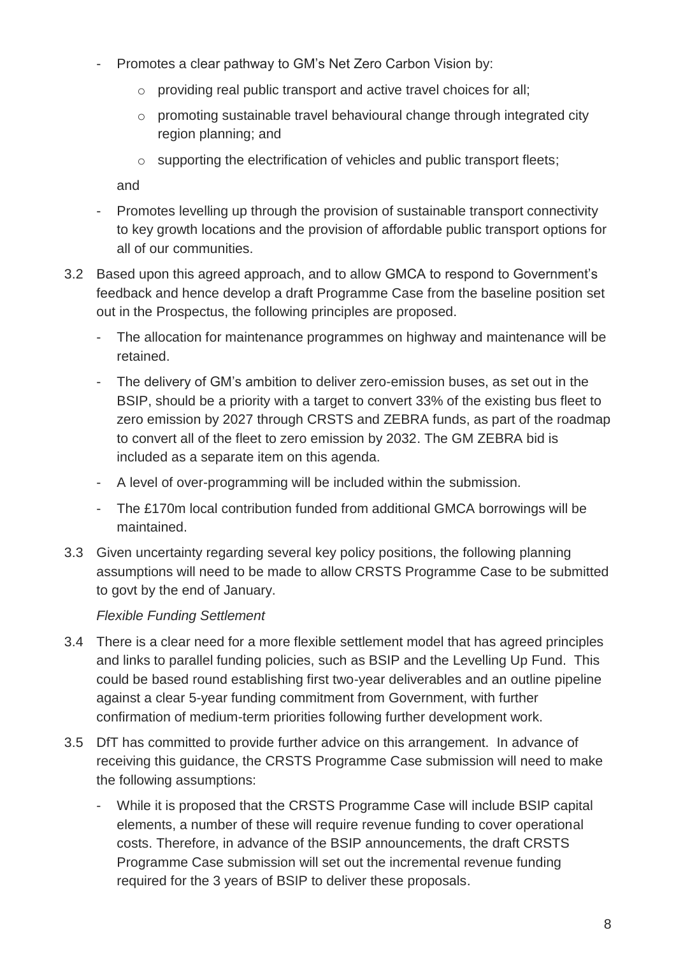- Promotes a clear pathway to GM's Net Zero Carbon Vision by:
	- o providing real public transport and active travel choices for all;
	- o promoting sustainable travel behavioural change through integrated city region planning; and
	- o supporting the electrification of vehicles and public transport fleets;

and

- Promotes levelling up through the provision of sustainable transport connectivity to key growth locations and the provision of affordable public transport options for all of our communities.
- 3.2 Based upon this agreed approach, and to allow GMCA to respond to Government's feedback and hence develop a draft Programme Case from the baseline position set out in the Prospectus, the following principles are proposed.
	- The allocation for maintenance programmes on highway and maintenance will be retained.
	- The delivery of GM's ambition to deliver zero-emission buses, as set out in the BSIP, should be a priority with a target to convert 33% of the existing bus fleet to zero emission by 2027 through CRSTS and ZEBRA funds, as part of the roadmap to convert all of the fleet to zero emission by 2032. The GM ZEBRA bid is included as a separate item on this agenda.
	- A level of over-programming will be included within the submission.
	- The £170m local contribution funded from additional GMCA borrowings will be maintained.
- 3.3 Given uncertainty regarding several key policy positions, the following planning assumptions will need to be made to allow CRSTS Programme Case to be submitted to govt by the end of January.

### *Flexible Funding Settlement*

- 3.4 There is a clear need for a more flexible settlement model that has agreed principles and links to parallel funding policies, such as BSIP and the Levelling Up Fund. This could be based round establishing first two-year deliverables and an outline pipeline against a clear 5-year funding commitment from Government, with further confirmation of medium-term priorities following further development work.
- 3.5 DfT has committed to provide further advice on this arrangement. In advance of receiving this guidance, the CRSTS Programme Case submission will need to make the following assumptions:
	- While it is proposed that the CRSTS Programme Case will include BSIP capital elements, a number of these will require revenue funding to cover operational costs. Therefore, in advance of the BSIP announcements, the draft CRSTS Programme Case submission will set out the incremental revenue funding required for the 3 years of BSIP to deliver these proposals.